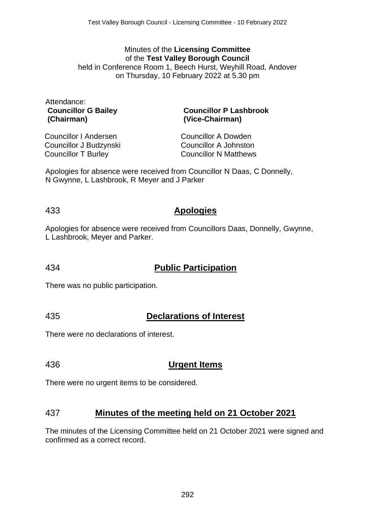#### Minutes of the **Licensing Committee** of the **Test Valley Borough Council** held in Conference Room 1, Beech Hurst, Weyhill Road, Andover on Thursday, 10 February 2022 at 5.30 pm

Attendance: **Councillor G Bailey (Chairman)**

#### **Councillor P Lashbrook (Vice-Chairman)**

Councillor I Andersen Councillor J Budzynski Councillor T Burley

Councillor A Dowden Councillor A Johnston Councillor N Matthews

Apologies for absence were received from Councillor N Daas, C Donnelly, N Gwynne, L Lashbrook, R Meyer and J Parker

## 433 **Apologies**

Apologies for absence were received from Councillors Daas, Donnelly, Gwynne, L Lashbrook, Meyer and Parker.

# 434 **Public Participation**

There was no public participation.

# 435 **Declarations of Interest**

There were no declarations of interest.

## 436 **Urgent Items**

There were no urgent items to be considered.

## 437 **Minutes of the meeting held on 21 October 2021**

The minutes of the Licensing Committee held on 21 October 2021 were signed and confirmed as a correct record.